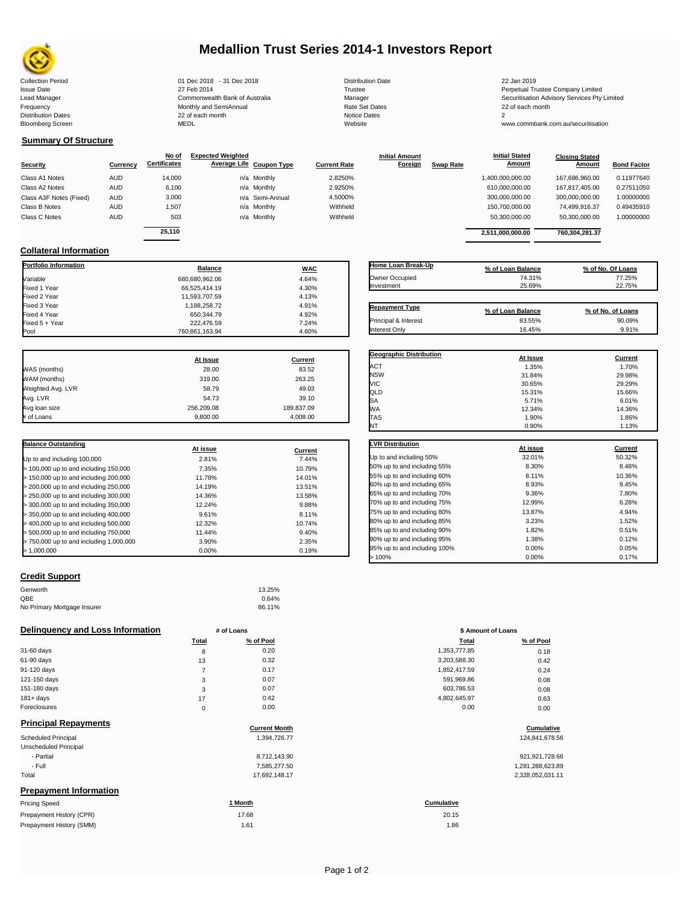

# **Medallion Trust Series 2014-1 Investors Report**

Collection Period 22 Jan 2019 01 Dec 2018 - 31 Dec 2018 Distribution Date 22 Jan 2019 Issue Date 2014 27 Feb 2014 27 Feb 2014<br>Isaad Manager 2015 2017 Commonwealth Bank of Australia 2016 Manager 2016 2017 2017 Securitisation Advisory Services Pty Frequency 22 of each month Monthly and SemiAnnual Rate Set Dates 22 of each month 22 of each month 22 of each month<br>Distribution Dates 22 of each month 22 of each month 20 of each month and the Set Dates 20 month 2 Bloomberg Screen MEDL Website www.commbank.com.au/securitisation

| Distribution Da |
|-----------------|
| Trustee         |
| Manager         |
| Rate Set Date   |
| Notice Dates    |
| Website         |

Lead Manager **Commonwealth Bank of Australia** Manager Manager Securitisation Advisory Services Pty Limited

**Closing Stated Amount**

# **Summary Of Structure**

**Collateral Information**

| <b>Bond Factor</b><br>Amount |
|------------------------------|
| 0.11977640<br>167.686.960.00 |
| 167.817.405.00<br>0.27511050 |
| 1.00000000<br>300,000,000.00 |
| 0.49435910<br>74.499.916.37  |
| 1.00000000<br>50,300,000.00  |
| 760.304.281.37               |
|                              |

**Portfolio Information Balance WAC** Variable 680,680,962.06 4.64% Fixed 1 Year 66,525,414.19 4.30% Fixed 2 Year 11,593,707.59 4.13% Fixed 3 Year 1,188,258.72 4.91%

Fixed 5 + Year 222,476.59 222,476.59 222,476.59 222,476.59 222,476.59 222,476.59 222,476.59 222,476.59 222,476

760,861,163.94

| Home Loan Break-Up    | % of Loan Balance | % of No. Of Loans |
|-----------------------|-------------------|-------------------|
| Owner Occupied        | 74.31%            | 77.25%            |
| Investment            | 25.69%            | 22.75%            |
|                       |                   |                   |
| <b>Repayment Type</b> | % of Loan Balance | % of No. of Loans |
| Principal & Interest  | 83.55%            | 90.09%            |
| Interest Only         | 16.45%            | 9.91%             |

**Geographic Distribution**<br> **ACT ACT ACT ACT ACT ACT ACT ACT ACT ACT ACT ACT ACT ACT ACT ACT ACT ACT ACT ACT ACT ACT ACT ACT ACT ACT ACT** ACT 1.35% 1.70% NSW 31.84% 29.98% VIC 30.65% 29.29% QLD 15.31% 15.66%  $SA$  6.01% 6.01%

**Initial Stated** 

|                   | At Issue   | Current    |
|-------------------|------------|------------|
| WAS (months)      | 28.00      | 83.52      |
| WAM (months)      | 319.00     | 263.25     |
| Weighted Avg. LVR | 58.79      | 49.03      |
| Avg. LVR          | 54.73      | 39.10      |
| Avg loan size     | 256.209.08 | 189,837.09 |
| # of Loans        | 9.800.00   | 4.008.00   |

Fixed 4.92%<br>  $222,476.59$ <br>  $7.24\%$ 

| <b>Balance Outstanding</b>              | At issue | Current |
|-----------------------------------------|----------|---------|
| Up to and including 100,000             | 2.81%    | 7.44%   |
| > 100,000 up to and including 150,000   | 7.35%    | 10.79%  |
| > 150,000 up to and including 200,000   | 11.78%   | 14.01%  |
| > 200,000 up to and including 250,000   | 14.19%   | 13.51%  |
| > 250,000 up to and including 300,000   | 14.36%   | 13.58%  |
| > 300,000 up to and including 350,000   | 12.24%   | 9.88%   |
| > 350,000 up to and including 400,000   | 9.61%    | 8.11%   |
| > 400,000 up to and including 500,000   | 12.32%   | 10.74%  |
| > 500,000 up to and including 750,000   | 11.44%   | 9.40%   |
| > 750,000 up to and including 1,000,000 | 3.90%    | 2.35%   |
| > 1.000.000                             | 0.00%    | 0.19%   |

## **Credit Support**

| Genworth                    | 13.25% |
|-----------------------------|--------|
| QBE                         | 0.64%  |
| No Primary Mortgage Insurer | 86.11% |

### **Delinquency and Loss Information # of Loans**

|              | Total       | % of Pool | Total        | % of Pool |
|--------------|-------------|-----------|--------------|-----------|
| 31-60 days   | 8           | 0.20      | 1,353,777.85 | 0.18      |
| 61-90 days   | 13          | 0.32      | 3,203,588.30 | 0.42      |
| 91-120 days  |             | 0.17      | 1,852,417.59 | 0.24      |
| 121-150 days | 3           | 0.07      | 591,969.86   | 0.08      |
| 151-180 days | 3           | 0.07      | 603,786.53   | 0.08      |
| $181 + days$ | 17          | 0.42      | 4,802,645.97 | 0.63      |
| Foreclosures | $\mathbf 0$ | 0.00      | 0.00         | 0.00      |
|              |             |           |              |           |

# **Principal Repayments**

| Principal Repayments                                      | <b>Current Month</b> | Cumulative        |
|-----------------------------------------------------------|----------------------|-------------------|
| <b>Scheduled Principal</b>                                | 1,394,726.77         | 124,841,678.56    |
| Unscheduled Principal                                     |                      |                   |
| - Partial                                                 | 8,712,143.90         | 921, 921, 728.66  |
| - Full                                                    | 7.585.277.50         | 1,281,288,623.89  |
| Total                                                     | 17,692,148.17        | 2,328,052,031.11  |
| <b>Prepayment Information</b>                             |                      |                   |
| <b>Pricing Speed</b>                                      | 1 Month              | <b>Cumulative</b> |
| $D_{22}$ and $D_{33}$ and $D_{43}$ is the set of $D_{43}$ | 4700                 | 0015              |

| Prepayment History (CPR) | 17.68            | 20.15 |
|--------------------------|------------------|-------|
| Prepayment History (SMM) | 1.6 <sup>4</sup> | .86   |

| WA                           | 12.34%   | 14.36%  |
|------------------------------|----------|---------|
| TAS                          | 1.90%    | 1.86%   |
| NT                           | 0.90%    | 1.13%   |
| <b>LVR Distribution</b>      |          |         |
|                              | At issue | Current |
| Up to and including 50%      | 32.01%   | 50.32%  |
| 50% up to and including 55%  | 8.30%    | 8.48%   |
| 55% up to and including 60%  | 8.11%    | 10.36%  |
| 60% up to and including 65%  | 8.93%    | 9.45%   |
| 65% up to and including 70%  | 9.36%    | 7.80%   |
| 70% up to and including 75%  | 12.99%   | 6.28%   |
| 75% up to and including 80%  | 13.87%   | 4.94%   |
| 80% up to and including 85%  | 3.23%    | 1.52%   |
| 85% up to and including 90%  | 1.82%    | 0.51%   |
| 90% up to and including 95%  | 1.38%    | 0.12%   |
| 95% up to and including 100% | 0.00%    | 0.05%   |
| 100%                         | 0.00%    | 0.17%   |

|                | # of Loans | \$ Amount of Loans |           |
|----------------|------------|--------------------|-----------|
| Total          | % of Pool  | Total              | % of Pool |
| 8              | 0.20       | 1,353,777.85       | 0.18      |
| 13             | 0.32       | 3,203,588.30       | 0.42      |
| $\overline{7}$ | 0.17       | 1,852,417.59       | 0.24      |
| 3              | 0.07       | 591,969.86         | 0.08      |
| 3              | 0.07       | 603,786.53         | 0.08      |
| 17             | 0.42       | 4,802,645.97       | 0.63      |
| 0              | 0.00       | 0.00               | 0.00      |

# **Cumulative Cumulative**

| 921.921.728.66   |
|------------------|
| 1,281,288,623.89 |
| 2,328,052,031.11 |

20.15